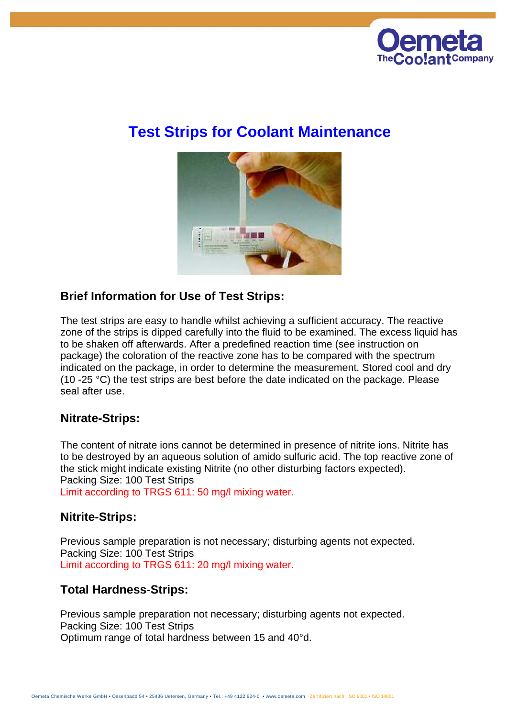

# **Test Strips for Coolant Maintenance**



## **Brief Information for Use of Test Strips:**

The test strips are easy to handle whilst achieving a sufficient accuracy. The reactive zone of the strips is dipped carefully into the fluid to be examined. The excess liquid has to be shaken off afterwards. After a predefined reaction time (see instruction on package) the coloration of the reactive zone has to be compared with the spectrum indicated on the package, in order to determine the measurement. Stored cool and dry (10 -25 °C) the test strips are best before the date indicated on the package. Please seal after use.

# **Nitrate-Strips:**

The content of nitrate ions cannot be determined in presence of nitrite ions. Nitrite has to be destroyed by an aqueous solution of amido sulfuric acid. The top reactive zone of the stick might indicate existing Nitrite (no other disturbing factors expected). Packing Size: 100 Test Strips Limit according to TRGS 611: 50 mg/l mixing water.

#### **Nitrite-Strips:**

Previous sample preparation is not necessary; disturbing agents not expected. Packing Size: 100 Test Strips Limit according to TRGS 611: 20 mg/l mixing water.

# **Total Hardness-Strips:**

Previous sample preparation not necessary; disturbing agents not expected. Packing Size: 100 Test Strips Optimum range of total hardness between 15 and 40°d.